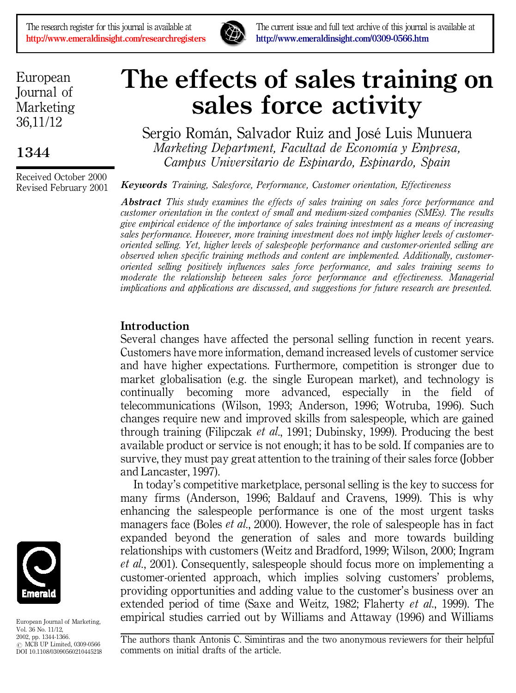

The research register for this journal is available at **The current issue and full text archive of this journal is available at http://www.emeraldinsight.com/0309-0566.htm <http://www.emeraldinsight.com/0309-0566.htm>**

European Journal of Marketing 36,11/12

**1344**

Received October 2000 Revised February 2001

# **The effects of sales training on sales force activity**

Sergio Román, Salvador Ruiz and José Luis Munuera *Marketing Department, Facultad de EconomõÂa y Empresa, Campus Universitario de Espinardo, Espinardo, Spain*

*Keywords Training, Salesforce, Performance, Customer orientation, Effectiveness*

*Abstract This study examines the effects of sales training on sales force performance and customer orientation in the context of small and medium-sized companies (SMEs). The results give empirical evidence of the importance of sales training investment as a means of increasing sales performance. However, more training investment does not imply higher levels of customeroriented selling. Yet, higher levels of salespeople performance and customer-oriented selling are observed when specific training methods and content are implemented. Additionally, customeroriented selling positively influences sales force performance, and sales training seems to moderate the relationship between sales force performance and effectiveness. Managerial implications and applications are discussed, and suggestions for future research are presented.*

# **Introduction**

Several changes have affected the personal selling function in recent years. Customers have more information, demand increased levels of customer service and have higher expectations. Furthermore, competition is stronger due to market globalisation (e.g. the single European market), and technology is continually becoming more advanced, especially in the field of telecommunications (Wilson, 1993; Anderson, 1996; Wotruba, 1996). Such changes require new and improved skills from salespeople, which are gained through training (Filipczak *et al*., 1991; Dubinsky, 1999). Producing the best available product or service is not enough; it has to be sold. If companies are to survive, they must pay great attention to the training of their sales force (Jobber and Lancaster, 1997).

In today's competitive marketplace, personal selling is the key to success for many firms (Anderson, 1996; Baldauf and Cravens, 1999). This is why enhancing the salespeople performance is one of the most urgent tasks managers face (Boles *et al*., 2000). However, the role of salespeople has in fact expanded beyond the generation of sales and more towards building relationships with customers (Weitz and Bradford, 1999; Wilson, 2000; Ingram *et al*., 2001). Consequently, salespeople should focus more on implementing a customer-oriented approach, which implies solving customers' problems, providing opportunities and adding value to the customer's business over an extended period of time (Saxe and Weitz, 1982; Flaherty *et al*., 1999). The empirical studies carried out by Williams and Attaway (1996) and Williams



European Journal of Marketing, Vol. 36 No. 11/12, 2002, pp. 1344-1366.  $\odot$  MCB UP Limited, 0309-0566 DOI 10.1108/03090560210445218

The authors thank Antonis C. Simintiras and the two anonymous reviewers for their helpful comments on initial drafts of the article.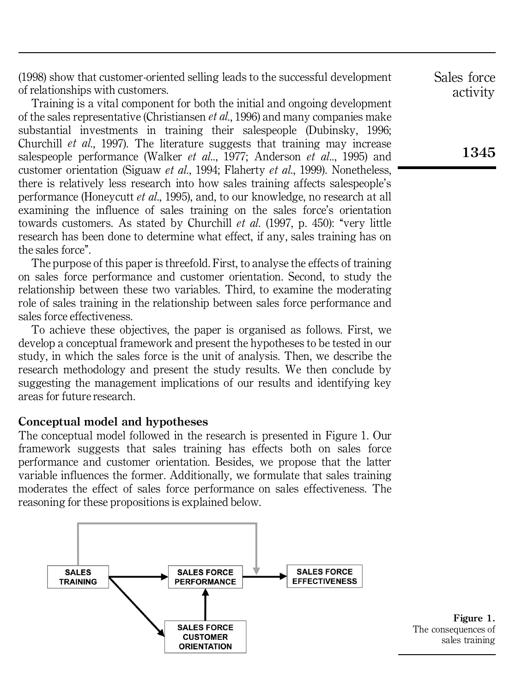(1998) show that customer-oriented selling leads to the successful development of relationships with customers.

Training is a vital component for both the initial and ongoing development of the sales representative (Christiansen *et al*., 1996) and many companies make substantial investments in training their salespeople (Dubinsky, 1996; Churchill *et al*., 1997). The literature suggests that training may increase salespeople performance (Walker *et al*.., 1977; Anderson *et al*.., 1995) and customer orientation (Siguaw *et al*., 1994; Flaherty *et al*., 1999). Nonetheless, there is relatively less research into how sales training affects salespeople's performance (Honeycutt *et al*., 1995), and, to our knowledge, no research at all examining the influence of sales training on the sales force's orientation towards customers. As stated by Churchill *et al.* (1997, p. 450): "very little research has been done to determine what effect, if any, sales training has on the sales force''.

The purpose of this paper is threefold. First, to analyse the effects of training on sales force performance and customer orientation. Second, to study the relationship between these two variables. Third, to examine the moderating role of sales training in the relationship between sales force performance and sales force effectiveness.

To achieve these objectives, the paper is organised as follows. First, we develop a conceptual framework and present the hypotheses to be tested in our study, in which the sales force is the unit of analysis. Then, we describe the research methodology and present the study results. We then conclude by suggesting the management implications of our results and identifying key areas for future research.

#### **Conceptual model and hypotheses**

The conceptual model followed in the research is presented in Figure 1. Our framework suggests that sales training has effects both on sales force performance and customer orientation. Besides, we propose that the latter variable influences the former. Additionally, we formulate that sales training moderates the effect of sales force performance on sales effectiveness. The reasoning for these propositions is explained below.



**Figure 1.** The consequences of sales training

Sales force activity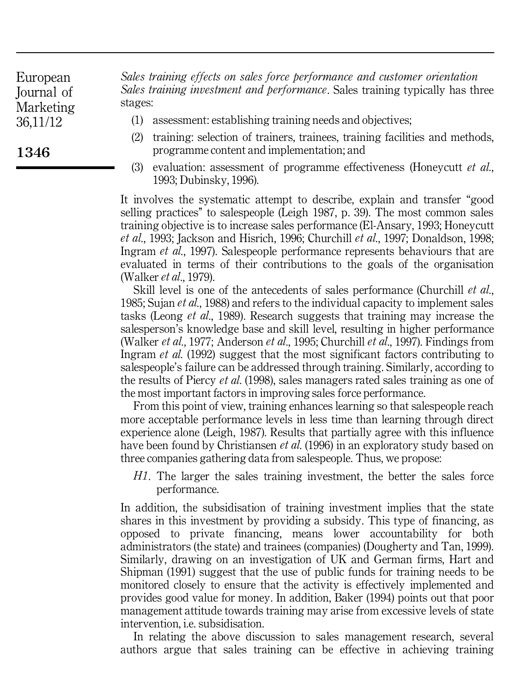**1346**

*Sales training effects on sales force performance and customer orientation Sales training investment and performance*. Sales training typically has three stages:

- (1) assessment: establishing training needs and objectives;
- (2) training: selection of trainers, trainees, training facilities and methods, programme content and implementation; and
- (3) evaluation: assessment of programme effectiveness (Honeycutt *et al*., 1993; Dubinsky, 1996).

It involves the systematic attempt to describe, explain and transfer "good selling practices'' to salespeople (Leigh 1987, p. 39). The most common sales training objective is to increase sales performance (El-Ansary, 1993; Honeycutt *et al*., 1993; Jackson and Hisrich, 1996; Churchill *et al*., 1997; Donaldson, 1998; Ingram *et al*., 1997). Salespeople performance represents behaviours that are evaluated in terms of their contributions to the goals of the organisation (Walker *et al*., 1979).

Skill level is one of the antecedents of sales performance (Churchill *et al*., 1985; Sujan *et al*., 1988) and refers to the individual capacity to implement sales tasks (Leong *et al*., 1989). Research suggests that training may increase the salesperson's knowledge base and skill level, resulting in higher performance (Walker *et al*., 1977; Anderson *et al*., 1995; Churchill *et al*., 1997). Findings from Ingram *et al*. (1992) suggest that the most significant factors contributing to salespeople's failure can be addressed through training. Similarly, according to the results of Piercy *et al*. (1998), sales managers rated sales training as one of the most important factors in improving sales force performance.

From this point of view, training enhances learning so that salespeople reach more acceptable performance levels in less time than learning through direct experience alone (Leigh, 1987). Results that partially agree with this influence have been found by Christiansen *et al*. (1996) in an exploratory study based on three companies gathering data from salespeople. Thus, we propose:

*H1*. The larger the sales training investment, the better the sales force performance.

In addition, the subsidisation of training investment implies that the state shares in this investment by providing a subsidy. This type of financing, as opposed to private financing, means lower accountability for both administrators (the state) and trainees (companies) (Dougherty and Tan, 1999). Similarly, drawing on an investigation of UK and German firms, Hart and Shipman (1991) suggest that the use of public funds for training needs to be monitored closely to ensure that the activity is effectively implemented and provides good value for money. In addition, Baker (1994) points out that poor management attitude towards training may arise from excessive levels of state intervention, i.e. subsidisation.

In relating the above discussion to sales management research, several authors argue that sales training can be effective in achieving training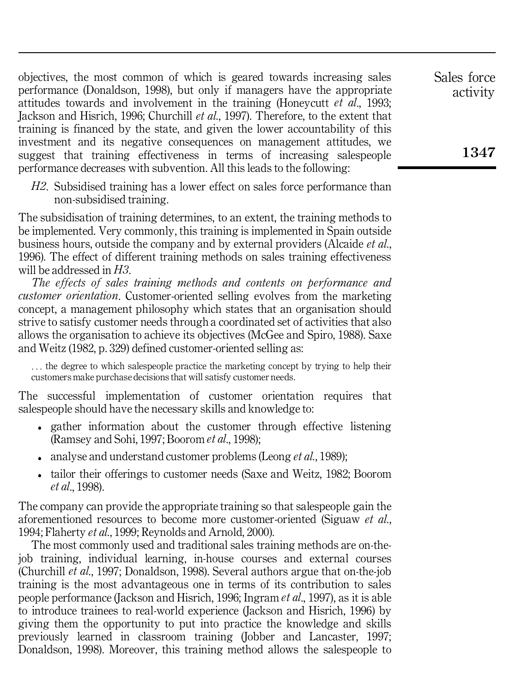objectives, the most common of which is geared towards increasing sales performance (Donaldson, 1998), but only if managers have the appropriate attitudes towards and involvement in the training (Honeycutt *et al*., 1993; Jackson and Hisrich, 1996; Churchill *et al*., 1997). Therefore, to the extent that training is financed by the state, and given the lower accountability of this investment and its negative consequences on management attitudes, we suggest that training effectiveness in terms of increasing salespeople performance decreases with subvention. All this leads to the following:

*H2*. Subsidised training has a lower effect on sales force performance than non-subsidised training.

The subsidisation of training determines, to an extent, the training methods to be implemented. Very commonly, this training is implemented in Spain outside business hours, outside the company and by external providers (Alcaide *et al*., 1996). The effect of different training methods on sales training effectiveness will be addressed in *H3*.

*The effects of sales training methods and contents on performance and customer orientation*. Customer-oriented selling evolves from the marketing concept, a management philosophy which states that an organisation should strive to satisfy customer needs through a coordinated set of activities that also allows the organisation to achieve its objectives (McGee and Spiro, 1988). Saxe and Weitz (1982, p. 329) defined customer-oriented selling as:

. . . the degree to which salespeople practice the marketing concept by trying to help their customers make purchase decisions that will satisfy customer needs.

The successful implementation of customer orientation requires that salespeople should have the necessary skills and knowledge to:

- gather information about the customer through effective listening (Ramsey and Sohi, 1997; Boorom *et al*., 1998);
- analyse and understand customer problems (Leong *et al*., 1989);
- tailor their offerings to customer needs (Saxe and Weitz, 1982; Boorom *et al*., 1998).

The company can provide the appropriate training so that salespeople gain the aforementioned resources to become more customer-oriented (Siguaw *et al*., 1994; Flaherty *et al*., 1999; Reynolds and Arnold, 2000).

The most commonly used and traditional sales training methods are on-thejob training, individual learning, in-house courses and external courses (Churchill *et al*., 1997; Donaldson, 1998). Several authors argue that on-the-job training is the most advantageous one in terms of its contribution to sales people performance (Jackson and Hisrich, 1996; Ingram *et al*., 1997), as it is able to introduce trainees to real-world experience (Jackson and Hisrich, 1996) by giving them the opportunity to put into practice the knowledge and skills previously learned in classroom training (Jobber and Lancaster, 1997; Donaldson, 1998). Moreover, this training method allows the salespeople to

Sales force activity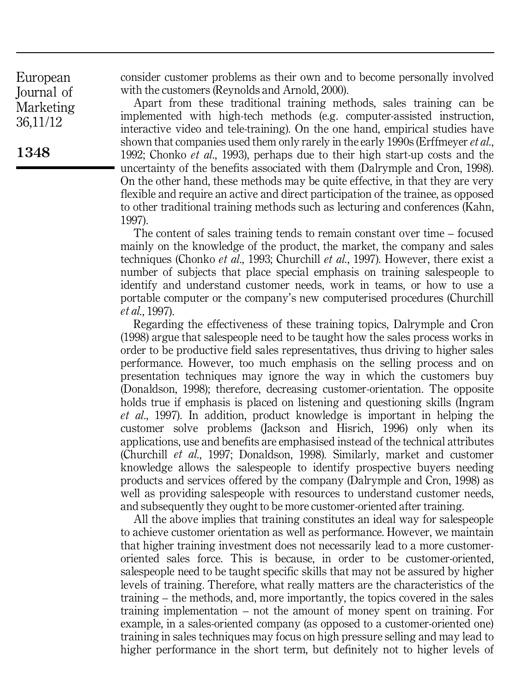consider customer problems as their own and to become personally involved with the customers (Reynolds and Arnold, 2000).

Apart from these traditional training methods, sales training can be implemented with high-tech methods (e.g. computer-assisted instruction, interactive video and tele-training). On the one hand, empirical studies have shown that companies used them only rarely in the early 1990s (Erffmeyer *et al*., 1992; Chonko *et al*., 1993), perhaps due to their high start-up costs and the uncertainty of the benefits associated with them (Dalrymple and Cron, 1998). On the other hand, these methods may be quite effective, in that they are very flexible and require an active and direct participation of the trainee, as opposed to other traditional training methods such as lecturing and conferences (Kahn, 1997).

The content of sales training tends to remain constant over time – focused mainly on the knowledge of the product, the market, the company and sales techniques (Chonko *et al*., 1993; Churchill *et al*., 1997). However, there exist a number of subjects that place special emphasis on training salespeople to identify and understand customer needs, work in teams, or how to use a portable computer or the company's new computerised procedures (Churchill *et al*., 1997).

Regarding the effectiveness of these training topics, Dalrymple and Cron (1998) argue that salespeople need to be taught how the sales process works in order to be productive field sales representatives, thus driving to higher sales performance. However, too much emphasis on the selling process and on presentation techniques may ignore the way in which the customers buy (Donaldson, 1998); therefore, decreasing customer-orientation. The opposite holds true if emphasis is placed on listening and questioning skills (Ingram *et al*., 1997). In addition, product knowledge is important in helping the customer solve problems (Jackson and Hisrich, 1996) only when its applications, use and benefits are emphasised instead of the technical attributes (Churchill *et al*., 1997; Donaldson, 1998). Similarly, market and customer knowledge allows the salespeople to identify prospective buyers needing products and services offered by the company (Dalrymple and Cron, 1998) as well as providing salespeople with resources to understand customer needs, and subsequently they ought to be more customer-oriented after training.

All the above implies that training constitutes an ideal way for salespeople to achieve customer orientation as well as performance. However, we maintain that higher training investment does not necessarily lead to a more customeroriented sales force. This is because, in order to be customer-oriented, salespeople need to be taught specific skills that may not be assured by higher levels of training. Therefore, what really matters are the characteristics of the training – the methods, and, more importantly, the topics covered in the sales training implementation – not the amount of money spent on training. For example, in a sales-oriented company (as opposed to a customer-oriented one) training in sales techniques may focus on high pressure selling and may lead to higher performance in the short term, but definitely not to higher levels of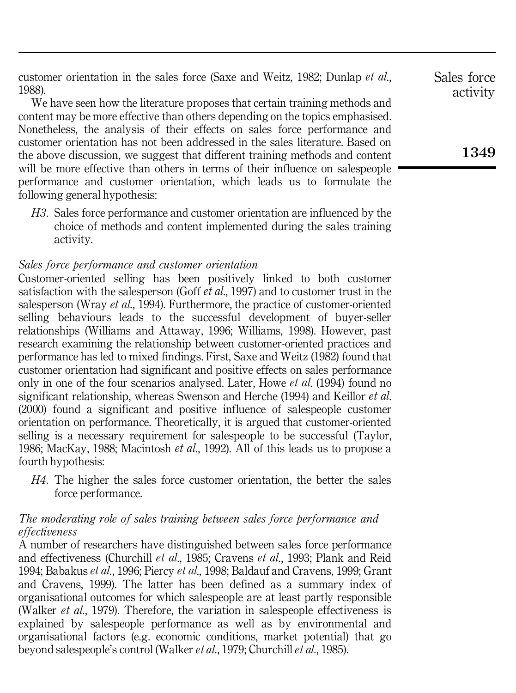customer orientation in the sales force (Saxe and Weitz, 1982; Dunlap *et al*., 1988).

We have seen how the literature proposes that certain training methods and content may be more effective than others depending on the topics emphasised. Nonetheless, the analysis of their effects on sales force performance and customer orientation has not been addressed in the sales literature. Based on the above discussion, we suggest that different training methods and content will be more effective than others in terms of their influence on salespeople performance and customer orientation, which leads us to formulate the following general hypothesis:

*H3*. Sales force performance and customer orientation are influenced by the choice of methods and content implemented during the sales training activity.

## *Sales force performance and customer orientation*

Customer-oriented selling has been positively linked to both customer satisfaction with the salesperson (Goff *et al*., 1997) and to customer trust in the salesperson (Wray *et al*., 1994). Furthermore, the practice of customer-oriented selling behaviours leads to the successful development of buyer-seller relationships (Williams and Attaway, 1996; Williams, 1998). However, past research examining the relationship between customer-oriented practices and performance has led to mixed findings. First, Saxe and Weitz (1982) found that customer orientation had significant and positive effects on sales performance only in one of the four scenarios analysed. Later, Howe *et al*. (1994) found no significant relationship, whereas Swenson and Herche (1994) and Keillor *et al*. (2000) found a significant and positive influence of salespeople customer orientation on performance. Theoretically, it is argued that customer-oriented selling is a necessary requirement for salespeople to be successful (Taylor, 1986; MacKay, 1988; Macintosh *et al*., 1992). All of this leads us to propose a fourth hypothesis:

*H4*. The higher the sales force customer orientation, the better the sales force performance.

## *The moderating role of sales training between sales force performance and effectiveness*

A number of researchers have distinguished between sales force performance and effectiveness (Churchill *et al*., 1985; Cravens *et al*., 1993; Plank and Reid 1994; Babakus *et al*., 1996; Piercy *et al*., 1998; Baldauf and Cravens, 1999; Grant and Cravens, 1999). The latter has been defined as a summary index of organisational outcomes for which salespeople are at least partly responsible (Walker *et al*., 1979). Therefore, the variation in salespeople effectiveness is explained by salespeople performance as well as by environmental and organisational factors (e.g. economic conditions, market potential) that go beyond salespeople's control (Walker *et al*., 1979; Churchill *et al*., 1985).

Sales force activity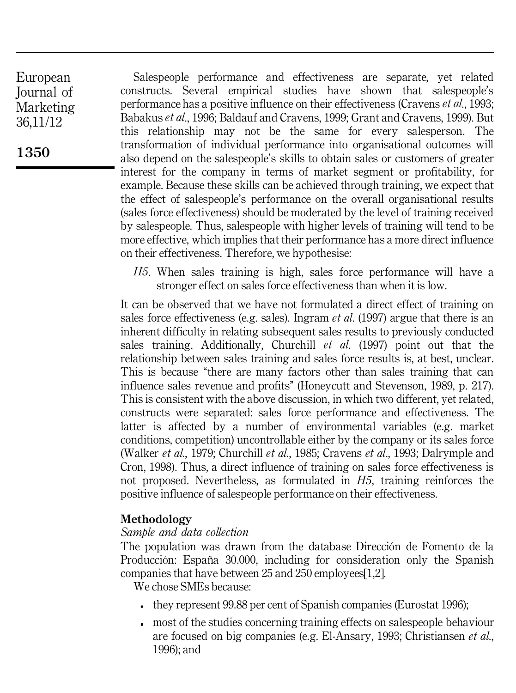**1350**

Salespeople performance and effectiveness are separate, yet related constructs. Several empirical studies have shown that salespeople's performance has a positive influence on their effectiveness (Cravens *et al*., 1993; Babakus *et al*., 1996; Baldauf and Cravens, 1999; Grant and Cravens, 1999). But this relationship may not be the same for every salesperson. The transformation of individual performance into organisational outcomes will also depend on the salespeople's skills to obtain sales or customers of greater interest for the company in terms of market segment or profitability, for example. Because these skills can be achieved through training, we expect that the effect of salespeople's performance on the overall organisational results (sales force effectiveness) should be moderated by the level of training received by salespeople. Thus, salespeople with higher levels of training will tend to be more effective, which implies that their performance has a more direct influence on their effectiveness. Therefore, we hypothesise:

*H5*. When sales training is high, sales force performance will have a stronger effect on sales force effectiveness than when it is low.

It can be observed that we have not formulated a direct effect of training on sales force effectiveness (e.g. sales). Ingram *et al*. (1997) argue that there is an inherent difficulty in relating subsequent sales results to previously conducted sales training. Additionally, Churchill *et al*. (1997) point out that the relationship between sales training and sales force results is, at best, unclear. This is because "there are many factors other than sales training that can influence sales revenue and profits'' (Honeycutt and Stevenson, 1989, p. 217). This is consistent with the above discussion, in which two different, yet related, constructs were separated: sales force performance and effectiveness. The latter is affected by a number of environmental variables (e.g. market conditions, competition) uncontrollable either by the company or its sales force (Walker *et al*., 1979; Churchill *et al*., 1985; Cravens *et al*., 1993; Dalrymple and Cron, 1998). Thus, a direct influence of training on sales force effectiveness is not proposed. Nevertheless, as formulated in *H5*, training reinforces the positive influence of salespeople performance on their effectiveness.

# **Methodology**

## *Sample and data collection*

The population was drawn from the database Dirección de Fomento de la Producción: España 30.000, including for consideration only the Spanish companies that have between 25 and 250 employees[1,2].

We chose SMEs because:

- they represent 99.88 per cent of Spanish companies (Eurostat 1996);
- most of the studies concerning training effects on salespeople behaviour are focused on big companies (e.g. El-Ansary, 1993; Christiansen *et al*., 1996); and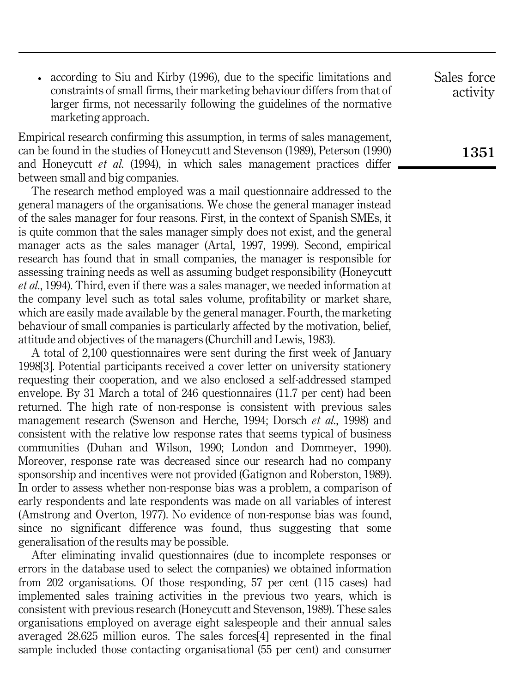according to Siu and Kirby (1996), due to the specific limitations and constraints of small firms, their marketing behaviour differs from that of larger firms, not necessarily following the guidelines of the normative marketing approach.

Empirical research confirming this assumption, in terms of sales management, can be found in the studies of Honeycutt and Stevenson (1989), Peterson (1990) and Honeycutt *et al*. (1994), in which sales management practices differ between small and big companies.

The research method employed was a mail questionnaire addressed to the general managers of the organisations. We chose the general manager instead of the sales manager for four reasons. First, in the context of Spanish SMEs, it is quite common that the sales manager simply does not exist, and the general manager acts as the sales manager (Artal, 1997, 1999). Second, empirical research has found that in small companies, the manager is responsible for assessing training needs as well as assuming budget responsibility (Honeycutt *et al*., 1994). Third, even if there was a sales manager, we needed information at the company level such as total sales volume, profitability or market share, which are easily made available by the general manager. Fourth, the marketing behaviour of small companies is particularly affected by the motivation, belief, attitude and objectives of the managers (Churchill and Lewis, 1983).

A total of 2,100 questionnaires were sent during the first week of January 1998[3]. Potential participants received a cover letter on university stationery requesting their cooperation, and we also enclosed a self-addressed stamped envelope. By 31 March a total of 246 questionnaires (11.7 per cent) had been returned. The high rate of non-response is consistent with previous sales management research (Swenson and Herche, 1994; Dorsch *et al*., 1998) and consistent with the relative low response rates that seems typical of business communities (Duhan and Wilson, 1990; London and Dommeyer, 1990). Moreover, response rate was decreased since our research had no company sponsorship and incentives were not provided (Gatignon and Roberston, 1989). In order to assess whether non-response bias was a problem, a comparison of early respondents and late respondents was made on all variables of interest (Amstrong and Overton, 1977). No evidence of non-response bias was found, since no significant difference was found, thus suggesting that some generalisation of the results may be possible.

After eliminating invalid questionnaires (due to incomplete responses or errors in the database used to select the companies) we obtained information from 202 organisations. Of those responding, 57 per cent (115 cases) had implemented sales training activities in the previous two years, which is consistent with previous research (Honeycutt and Stevenson, 1989). These sales organisations employed on average eight salespeople and their annual sales averaged 28.625 million euros. The sales forces[4] represented in the final sample included those contacting organisational (55 per cent) and consumer Sales force activity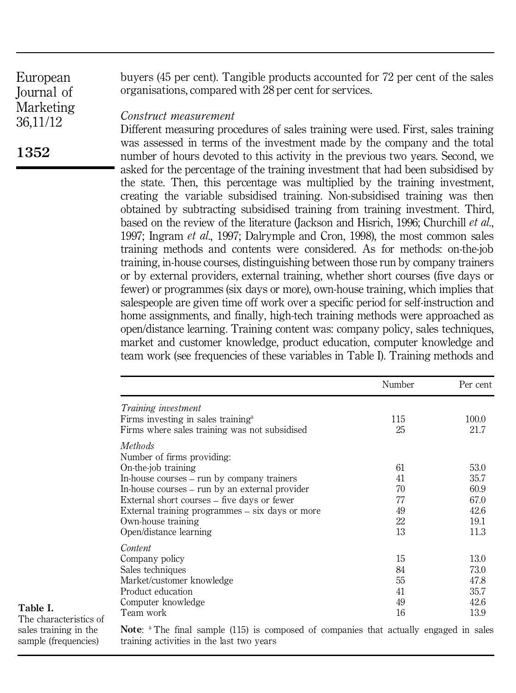**1352**

buyers (45 per cent). Tangible products accounted for 72 per cent of the sales organisations, compared with 28 per cent for services.

#### *Construct measurement*

Different measuring procedures of sales training were used. First, sales training was assessed in terms of the investment made by the company and the total number of hours devoted to this activity in the previous two years. Second, we asked for the percentage of the training investment that had been subsidised by the state. Then, this percentage was multiplied by the training investment, creating the variable subsidised training. Non-subsidised training was then obtained by subtracting subsidised training from training investment. Third, based on the review of the literature (Jackson and Hisrich, 1996; Churchill *et al*., 1997; Ingram *et al*., 1997; Dalrymple and Cron, 1998), the most common sales training methods and contents were considered. As for methods: on-the-job training, in-house courses, distinguishing between those run by company trainers or by external providers, external training, whether short courses (five days or fewer) or programmes (six days or more), own-house training, which implies that salespeople are given time off work over a specific period for self-instruction and home assignments, and finally, high-tech training methods were approached as open/distance learning. Training content was: company policy, sales techniques, market and customer knowledge, product education, computer knowledge and team work (see frequencies of these variables in Table I). Training methods and

|                                                 | Number | Per cent |
|-------------------------------------------------|--------|----------|
| <i>Training investment</i>                      |        |          |
| Firms investing in sales training <sup>a</sup>  | 115    | 100.0    |
| Firms where sales training was not subsidised   | 25     | 21.7     |
| <i>Methods</i>                                  |        |          |
| Number of firms providing:                      |        |          |
| On-the-job training                             | 61     | 53.0     |
| In-house courses – run by company trainers      | 41     | 35.7     |
| In-house courses – run by an external provider  | 70     | 60.9     |
| External short courses – five days or fewer     | 77     | 67.0     |
| External training programmes – six days or more | 49     | 42.6     |
| Own-house training                              | 22     | 19.1     |
| Open/distance learning                          | 13     | 11.3     |
| Content                                         |        |          |
| Company policy                                  | 15     | 13.0     |
| Sales techniques                                | 84     | 73.0     |
| Market/customer knowledge                       | 55     | 47.8     |
| Product education                               | 41     | 35.7     |
| Computer knowledge                              | 49     | 42.6     |
| Team work                                       | 16     | 13.9     |

**Table I.**

The characteristics of sales training in the sample (frequencies)

**Note:** <sup>a</sup> The final sample (115) is composed of companies that actually engaged in sales training activities in the last two years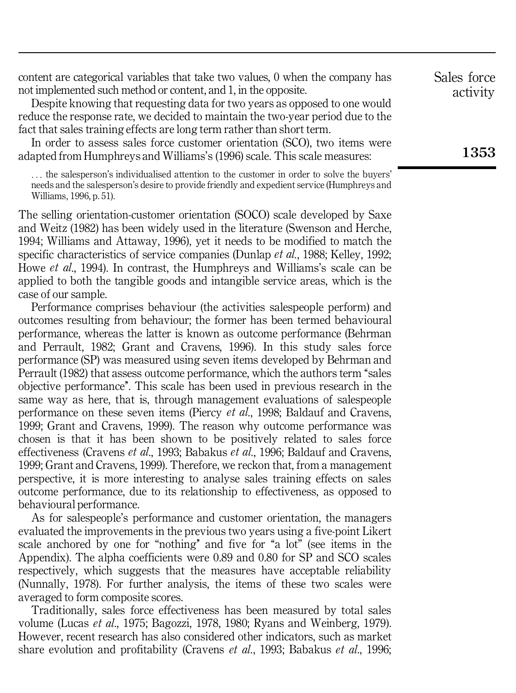content are categorical variables that take two values, 0 when the company has not implemented such method or content, and 1, in the opposite.

Despite knowing that requesting data for two years as opposed to one would reduce the response rate, we decided to maintain the two-year period due to the fact that sales training effects are long term rather than short term.

In order to assess sales force customer orientation (SCO), two items were adapted from Humphreys and Williams's (1996) scale. This scale measures:

. . . the salesperson's individualised attention to the customer in order to solve the buyers' needs and the salesperson's desire to provide friendly and expedient service (Humphreys and Williams, 1996, p. 51).

The selling orientation-customer orientation (SOCO) scale developed by Saxe and Weitz (1982) has been widely used in the literature (Swenson and Herche, 1994; Williams and Attaway, 1996), yet it needs to be modified to match the specific characteristics of service companies (Dunlap *et al*., 1988; Kelley, 1992; Howe *et al*., 1994). In contrast, the Humphreys and Williams's scale can be applied to both the tangible goods and intangible service areas, which is the case of our sample.

Performance comprises behaviour (the activities salespeople perform) and outcomes resulting from behaviour; the former has been termed behavioural performance, whereas the latter is known as outcome performance (Behrman and Perrault, 1982; Grant and Cravens, 1996). In this study sales force performance (SP) was measured using seven items developed by Behrman and Perrault (1982) that assess outcome performance, which the authors term "sales objective performance''. This scale has been used in previous research in the same way as here, that is, through management evaluations of salespeople performance on these seven items (Piercy *et al*., 1998; Baldauf and Cravens, 1999; Grant and Cravens, 1999). The reason why outcome performance was chosen is that it has been shown to be positively related to sales force effectiveness (Cravens *et al*., 1993; Babakus *et al*., 1996; Baldauf and Cravens, 1999; Grant and Cravens, 1999). Therefore, we reckon that, from a management perspective, it is more interesting to analyse sales training effects on sales outcome performance, due to its relationship to effectiveness, as opposed to behavioural performance.

As for salespeople's performance and customer orientation, the managers evaluated the improvements in the previous two years using a five-point Likert scale anchored by one for "nothing" and five for "a lot" (see items in the Appendix). The alpha coefficients were 0.89 and 0.80 for SP and SCO scales respectively, which suggests that the measures have acceptable reliability (Nunnally, 1978). For further analysis, the items of these two scales were averaged to form composite scores.

Traditionally, sales force effectiveness has been measured by total sales volume (Lucas *et al*., 1975; Bagozzi, 1978, 1980; Ryans and Weinberg, 1979). However, recent research has also considered other indicators, such as market share evolution and profitability (Cravens *et al*., 1993; Babakus *et al*., 1996; activity

Sales force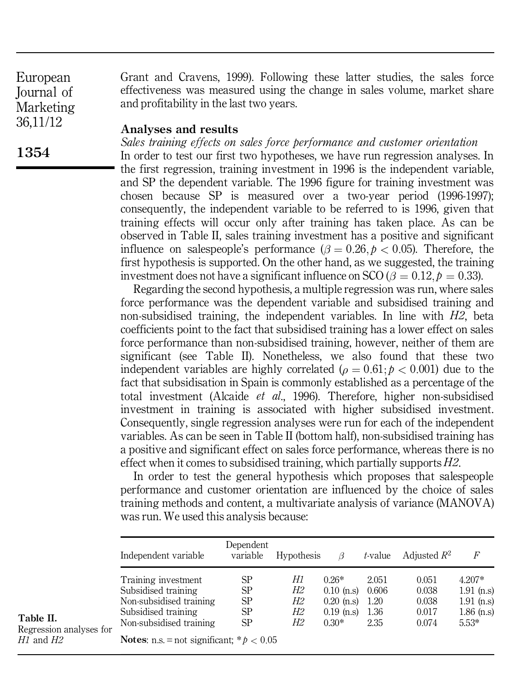Grant and Cravens, 1999). Following these latter studies, the sales force effectiveness was measured using the change in sales volume, market share and profitability in the last two years.

#### **Analyses and results**

*Sales training effects on sales force performance and customer orientation*

In order to test our first two hypotheses, we have run regression analyses. In the first regression, training investment in 1996 is the independent variable, and SP the dependent variable. The 1996 figure for training investment was chosen because SP is measured over a two-year period (1996-1997); consequently, the independent variable to be referred to is 1996, given that training effects will occur only after training has taken place. As can be observed in Table II, sales training investment has a positive and significant influence on salespeople's performance  $(\beta = 0.26, p < 0.05)$ . Therefore, the first hypothesis is supported. On the other hand, as we suggested, the training investment does not have a significant influence on SCO ( $\beta = 0.12, p = 0.33$ ).

Regarding the second hypothesis, a multiple regression was run, where sales force performance was the dependent variable and subsidised training and non-subsidised training, the independent variables. In line with *H2*, beta coefficients point to the fact that subsidised training has a lower effect on sales force performance than non-subsidised training, however, neither of them are significant (see Table II). Nonetheless, we also found that these two independent variables are highly correlated ( $\rho = 0.61$ ;  $p < 0.001$ ) due to the fact that subsidisation in Spain is commonly established as a percentage of the total investment (Alcaide *et al*., 1996). Therefore, higher non-subsidised investment in training is associated with higher subsidised investment. Consequently, single regression analyses were run for each of the independent variables. As can be seen in Table II (bottom half), non-subsidised training has a positive and significant effect on sales force performance, whereas there is no effect when it comes to subsidised training, which partially supports *H2*.

In order to test the general hypothesis which proposes that salespeople performance and customer orientation are influenced by the choice of sales training methods and content, a multivariate analysis of variance (MANOVA) was run. We used this analysis because:

|              | Independent variable                                                                                                                                                          | Dependent<br>variable      | <b>Hypothesis</b>          |                                                                    | t-value                                | Adjusted $R^2$                            | F                                                                   |
|--------------|-------------------------------------------------------------------------------------------------------------------------------------------------------------------------------|----------------------------|----------------------------|--------------------------------------------------------------------|----------------------------------------|-------------------------------------------|---------------------------------------------------------------------|
| analyses for | Training investment<br>Subsidised training<br>Non-subsidised training<br>Subsidised training<br>Non-subsidised training<br><b>Notes:</b> n.s. = not significant; * $p < 0.05$ | SP<br>SP<br>SP<br>SP<br>SP | Н1<br>Н2<br>Н2<br>Н2<br>Н2 | $0.26*$<br>$0.10$ (n.s)<br>$0.20$ (n.s)<br>$0.19$ (n.s)<br>$0.30*$ | 2.051<br>0.606<br>1.20<br>1.36<br>2.35 | 0.051<br>0.038<br>0.038<br>0.017<br>0.074 | $4.207*$<br>$1.91$ (n.s)<br>$1.91$ (n.s)<br>$1.86$ (n.s)<br>$5.53*$ |

**Table II.** Regression a *H1* and *H2*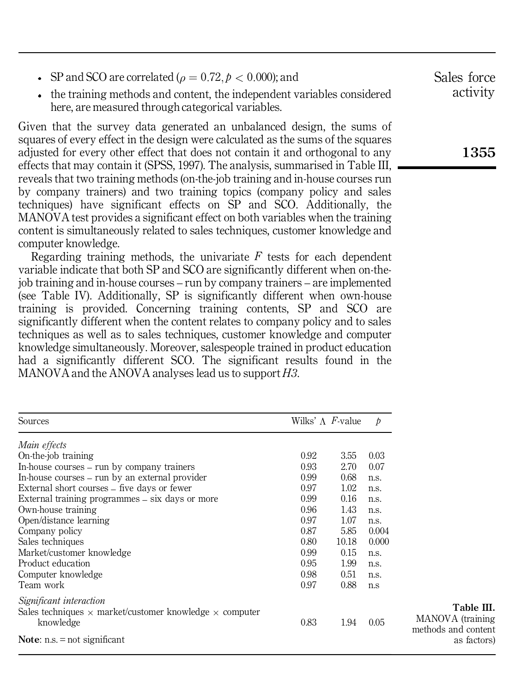- SP and SCO are correlated ( $\rho = 0.72, p < 0.000$ ); and
- the training methods and content, the independent variables considered here, are measured through categorical variables.

Given that the survey data generated an unbalanced design, the sums of squares of every effect in the design were calculated as the sums of the squares adjusted for every other effect that does not contain it and orthogonal to any effects that may contain it (SPSS, 1997). The analysis, summarised in Table III, reveals that two training methods (on-the-job training and in-house courses run by company trainers) and two training topics (company policy and sales techniques) have significant effects on SP and SCO. Additionally, the MANOVA test provides a significant effect on both variables when the training content is simultaneously related to sales techniques, customer knowledge and computer knowledge.

Regarding training methods, the univariate *F* tests for each dependent variable indicate that both SP and SCO are significantly different when on-thejob training and in-house courses – run by company trainers – are implemented (see Table IV). Additionally, SP is significantly different when own-house training is provided. Concerning training contents, SP and SCO are significantly different when the content relates to company policy and to sales techniques as well as to sales techniques, customer knowledge and computer knowledge simultaneously. Moreover, salespeople trained in product education had a significantly different SCO. The significant results found in the MANOVA and the ANOVA analyses lead us to support *H3*.

| Sources                                                                                                       | Wilks' $\Lambda$ <i>F</i> -value |       | $\mathcal{D}$ |                                                       |
|---------------------------------------------------------------------------------------------------------------|----------------------------------|-------|---------------|-------------------------------------------------------|
| Main effects                                                                                                  |                                  |       |               |                                                       |
| On-the-job training                                                                                           | 0.92                             | 3.55  | 0.03          |                                                       |
| In-house courses – run by company trainers                                                                    | 0.93                             | 2.70  | 0.07          |                                                       |
| In-house courses – run by an external provider                                                                | 0.99                             | 0.68  | n.s.          |                                                       |
| External short courses – five days or fewer                                                                   | 0.97                             | 1.02  | n.s.          |                                                       |
| External training programmes – six days or more                                                               | 0.99                             | 0.16  | n.s.          |                                                       |
| Own-house training                                                                                            | 0.96                             | 1.43  | n.s.          |                                                       |
| Open/distance learning                                                                                        | 0.97                             | 1.07  | n.s.          |                                                       |
| Company policy                                                                                                | 0.87                             | 5.85  | 0.004         |                                                       |
| Sales techniques                                                                                              | 0.80                             | 10.18 | 0.000         |                                                       |
| Market/customer knowledge                                                                                     | 0.99                             | 0.15  | n.s.          |                                                       |
| Product education                                                                                             | 0.95                             | 1.99  | n.s.          |                                                       |
| Computer knowledge                                                                                            | 0.98                             | 0.51  | n.s.          |                                                       |
| Team work                                                                                                     | 0.97                             | 0.88  | n.s           |                                                       |
| Significant interaction<br>Sales techniques $\times$ market/customer knowledge $\times$ computer<br>knowledge | 0.83                             | 1.94  | 0.05          | Table III.<br>MANOVA (training<br>methods and content |
| Note: $n.s. = not significant$                                                                                |                                  |       |               | as factors)                                           |

Sales force activity

**1355**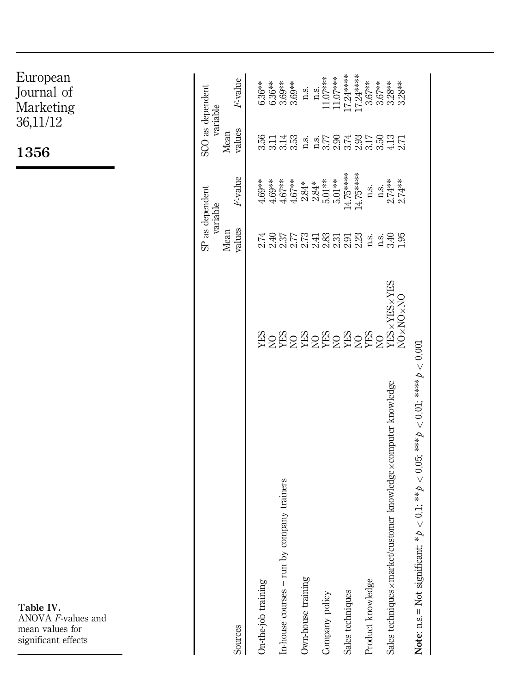| European<br>Journal of<br>Marketing<br>36,11/12<br>1356                   | SCO as dependent<br>variable<br>SP as dependent<br>variable | F-value<br>values<br>Mean<br>F-value | $6.36***$<br>3.56<br>$4.69***$ | $6.36***$<br>3.11<br>$4.69***$ | 3.69**<br>3.69**<br>$3.14$<br>$3.53$<br>$4.67***$<br>$4.67**$ | n.S.               | $11.07***$<br>n.S.<br>$2.84$ *<br>$2.84$ **<br>$5.01$ *** | $11.07***$<br>$5.01***$ | $17.24***$<br>17.24*****<br>14.75*****<br>14.75***** | $3.67**$<br>n.S.  | $3.67***$ | $3.28***$<br>$3.28***$<br>$\frac{1}{2.74}$<br>$\frac{2.74}{3.74}$ |                                                                                                 |
|---------------------------------------------------------------------------|-------------------------------------------------------------|--------------------------------------|--------------------------------|--------------------------------|---------------------------------------------------------------|--------------------|-----------------------------------------------------------|-------------------------|------------------------------------------------------|-------------------|-----------|-------------------------------------------------------------------|-------------------------------------------------------------------------------------------------|
|                                                                           |                                                             | values<br>Mean                       | 2.74                           | 2.40                           |                                                               |                    |                                                           |                         |                                                      | n.s.              |           | 1348<br>195                                                       |                                                                                                 |
|                                                                           |                                                             |                                      |                                |                                |                                                               |                    |                                                           |                         |                                                      |                   |           | NO×NO×NO                                                          |                                                                                                 |
| Table IV.<br>ANOVA F-values and<br>mean values for<br>significant effects |                                                             | Sources                              | On-the-job training            |                                | company trainers<br>In-house courses $-$ run by               | Own-house training | Company policy                                            |                         | Sales techniques                                     | Product knowledge |           | Sales techniques x market/customer knowledge x computer knowledge | * $p < 0.1$ ; ** $p < 0.05$ ; *** $p < 0.01$ ; **** $p < 0.001$<br>Note: n.s.= Not significant; |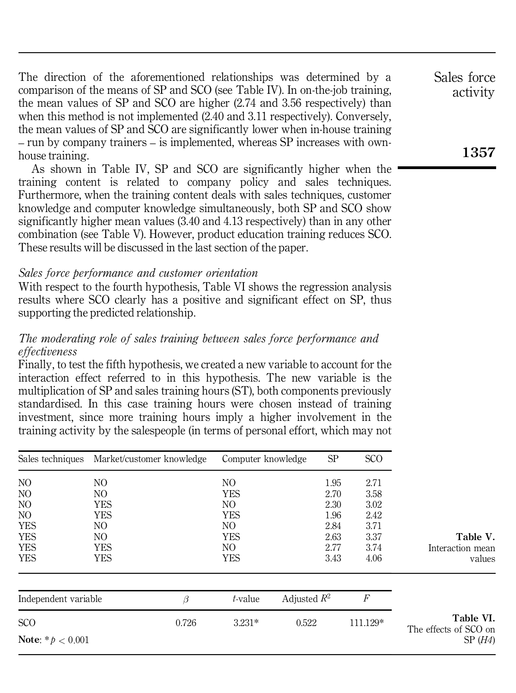The direction of the aforementioned relationships was determined by a comparison of the means of SP and SCO (see Table IV). In on-the-job training, the mean values of SP and SCO are higher (2.74 and 3.56 respectively) than when this method is not implemented (2.40 and 3.11 respectively). Conversely, the mean values of SP and SCO are significantly lower when in-house training – run by company trainers – is implemented, whereas SP increases with ownhouse training.

As shown in Table IV, SP and SCO are significantly higher when the training content is related to company policy and sales techniques. Furthermore, when the training content deals with sales techniques, customer knowledge and computer knowledge simultaneously, both SP and SCO show significantly higher mean values (3.40 and 4.13 respectively) than in any other combination (see Table V). However, product education training reduces SCO. These results will be discussed in the last section of the paper.

#### *Sales force performance and customer orientation*

With respect to the fourth hypothesis, Table VI shows the regression analysis results where SCO clearly has a positive and significant effect on SP, thus supporting the predicted relationship.

## *The moderating role of sales training between sales force performance and effectiveness*

Finally, to test the fifth hypothesis, we created a new variable to account for the interaction effect referred to in this hypothesis. The new variable is the multiplication of SP and sales training hours (ST), both components previously standardised. In this case training hours were chosen instead of training investment, since more training hours imply a higher involvement in the training activity by the salespeople (in terms of personal effort, which may not

| Sales techniques           | Market/customer knowledge | Computer knowledge | SP             | <b>SCO</b>     |                                    |
|----------------------------|---------------------------|--------------------|----------------|----------------|------------------------------------|
| NO                         | NO                        | NO                 | 1.95           | 2.71           |                                    |
| NO                         | NO.                       | <b>YES</b>         | 2.70           | 3.58           |                                    |
| NO                         | <b>YES</b>                | NO.                | 2.30           | 3.02           |                                    |
| NO                         | <b>YES</b>                | <b>YES</b>         | 1.96           | 2.42           |                                    |
| <b>YES</b>                 | NO.<br>NO.                | NO                 | 2.84           | 3.71           |                                    |
| <b>YES</b>                 |                           | <b>YES</b>         | 2.63           | 3.37           | Table V.                           |
| <b>YES</b>                 | <b>YES</b>                | NO.                | 2.77           | 3.74           | Interaction mean                   |
| <b>YES</b>                 | <b>YES</b>                | <b>YES</b>         | 3.43           | 4.06           | values                             |
| Independent variable       | β                         | t-value            | Adjusted $R^2$ | $\overline{F}$ |                                    |
| <b>SCO</b>                 | 0.726                     | $3.231*$           | 0.522          | 111.129*       | Table VI.<br>The effects of SCO on |
| <b>Note:</b> * $p < 0.001$ |                           |                    |                |                | SP(H4)                             |

Sales force activity

# **1357**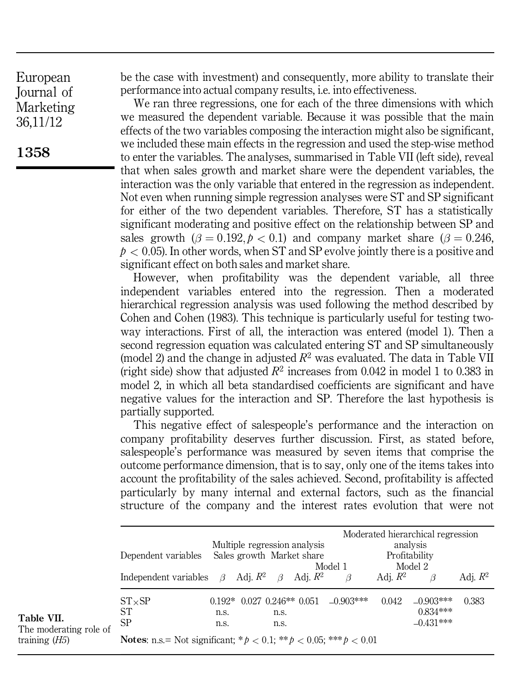**1358**

be the case with investment) and consequently, more ability to translate their performance into actual company results, i.e. into effectiveness.

We ran three regressions, one for each of the three dimensions with which we measured the dependent variable. Because it was possible that the main effects of the two variables composing the interaction might also be significant, we included these main effects in the regression and used the step-wise method to enter the variables. The analyses, summarised in Table VII (left side), reveal that when sales growth and market share were the dependent variables, the interaction was the only variable that entered in the regression as independent. Not even when running simple regression analyses were ST and SP significant for either of the two dependent variables. Therefore, ST has a statistically significant moderating and positive effect on the relationship between SP and sales growth  $(\beta = 0.192, p < 0.1)$  and company market share  $(\beta = 0.246,$  $p < 0.05$ . In other words, when ST and SP evolve jointly there is a positive and significant effect on both sales and market share.

However, when profitability was the dependent variable, all three independent variables entered into the regression. Then a moderated hierarchical regression analysis was used following the method described by Cohen and Cohen (1983). This technique is particularly useful for testing twoway interactions. First of all, the interaction was entered (model 1). Then a second regression equation was calculated entering ST and SP simultaneously (model 2) and the change in adjusted  $R^2$  was evaluated. The data in Table VII (right side) show that adjusted  $R^2$  increases from 0.042 in model 1 to 0.383 in model 2, in which all beta standardised coefficients are significant and have negative values for the interaction and SP. Therefore the last hypothesis is partially supported.

This negative effect of salespeople's performance and the interaction on company profitability deserves further discussion. First, as stated before, salespeople's performance was measured by seven items that comprise the outcome performance dimension, that is to say, only one of the items takes into account the profitability of the sales achieved. Second, profitability is affected particularly by many internal and external factors, such as the financial structure of the company and the interest rates evolution that were not

|                                      | Dependent variables                                                               | Multiple regression analysis<br>Sales growth Market share |  |              |                                          | Model 1     | Moderated hierarchical regression<br>analysis<br>Profitability<br>Model 2 |                                          |            |  |  |  |
|--------------------------------------|-----------------------------------------------------------------------------------|-----------------------------------------------------------|--|--------------|------------------------------------------|-------------|---------------------------------------------------------------------------|------------------------------------------|------------|--|--|--|
|                                      | Independent variables $\beta$ Adj. $R^2$ $\beta$                                  |                                                           |  |              | Adj. $R^2$                               | ß           | Adi. $R^2$                                                                |                                          | Adi. $R^2$ |  |  |  |
| Table VII.<br>The moderating role of | $ST \times SP$<br>SТ<br><b>SP</b>                                                 | n.s.<br>n.s.                                              |  | n.s.<br>n.s. | $0.192*$ 0.027 0.246 <sup>**</sup> 0.051 | $-0.903***$ | 0.042                                                                     | $-0.903***$<br>$0.834***$<br>$-0.431***$ | 0.383      |  |  |  |
| training $(H5)$                      | <b>Notes:</b> n.s.= Not significant; * $p < 0.1$ ; ** $p < 0.05$ ; *** $p < 0.01$ |                                                           |  |              |                                          |             |                                                                           |                                          |            |  |  |  |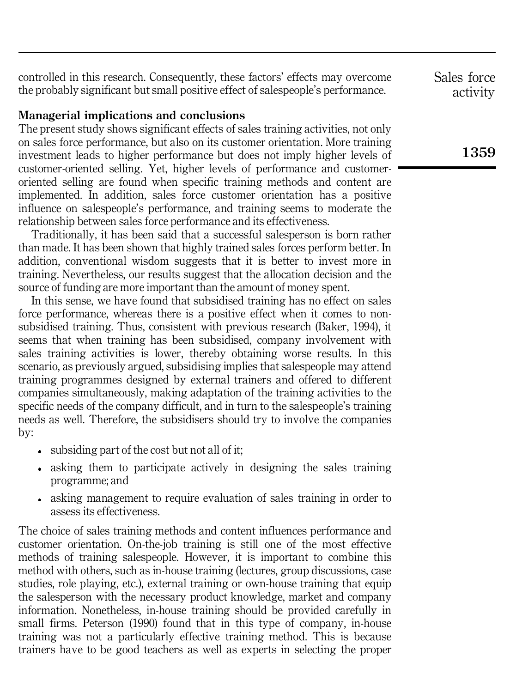controlled in this research. Consequently, these factors' effects may overcome the probably significant but small positive effect of salespeople's performance.

#### **Managerial implications and conclusions**

The present study shows significant effects of sales training activities, not only on sales force performance, but also on its customer orientation. More training investment leads to higher performance but does not imply higher levels of customer-oriented selling. Yet, higher levels of performance and customeroriented selling are found when specific training methods and content are implemented. In addition, sales force customer orientation has a positive influence on salespeople's performance, and training seems to moderate the relationship between sales force performance and its effectiveness.

Traditionally, it has been said that a successful salesperson is born rather than made. It has been shown that highly trained sales forces perform better. In addition, conventional wisdom suggests that it is better to invest more in training. Nevertheless, our results suggest that the allocation decision and the source of funding are more important than the amount of money spent.

In this sense, we have found that subsidised training has no effect on sales force performance, whereas there is a positive effect when it comes to nonsubsidised training. Thus, consistent with previous research (Baker, 1994), it seems that when training has been subsidised, company involvement with sales training activities is lower, thereby obtaining worse results. In this scenario, as previously argued, subsidising implies that salespeople may attend training programmes designed by external trainers and offered to different companies simultaneously, making adaptation of the training activities to the specific needs of the company difficult, and in turn to the salespeople's training needs as well. Therefore, the subsidisers should try to involve the companies by:

- subsiding part of the cost but not all of it;
- asking them to participate actively in designing the sales training programme; and
- asking management to require evaluation of sales training in order to assess its effectiveness.

The choice of sales training methods and content influences performance and customer orientation. On-the-job training is still one of the most effective methods of training salespeople. However, it is important to combine this method with others, such as in-house training (lectures, group discussions, case studies, role playing, etc.), external training or own-house training that equip the salesperson with the necessary product knowledge, market and company information. Nonetheless, in-house training should be provided carefully in small firms. Peterson (1990) found that in this type of company, in-house training was not a particularly effective training method. This is because trainers have to be good teachers as well as experts in selecting the proper Sales force activity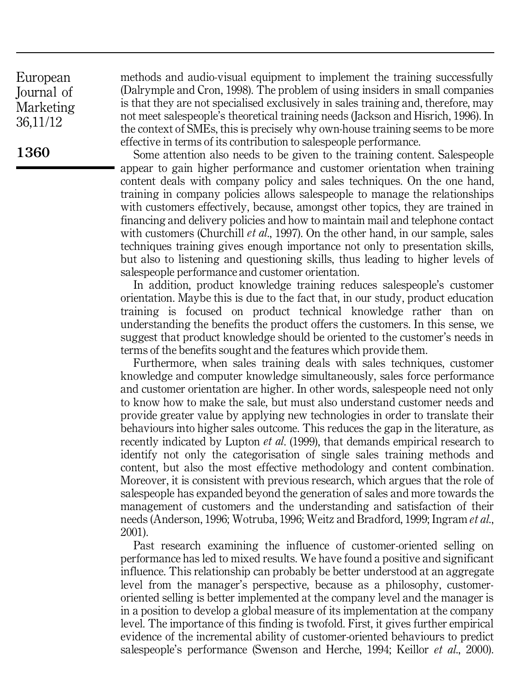**1360**

methods and audio-visual equipment to implement the training successfully (Dalrymple and Cron, 1998). The problem of using insiders in small companies is that they are not specialised exclusively in sales training and, therefore, may not meet salespeople's theoretical training needs (Jackson and Hisrich, 1996). In the context of SMEs, this is precisely why own-house training seems to be more effective in terms of its contribution to salespeople performance.

Some attention also needs to be given to the training content. Salespeople appear to gain higher performance and customer orientation when training content deals with company policy and sales techniques. On the one hand, training in company policies allows salespeople to manage the relationships with customers effectively, because, amongst other topics, they are trained in financing and delivery policies and how to maintain mail and telephone contact with customers (Churchill *et al*., 1997). On the other hand, in our sample, sales techniques training gives enough importance not only to presentation skills, but also to listening and questioning skills, thus leading to higher levels of salespeople performance and customer orientation.

In addition, product knowledge training reduces salespeople's customer orientation. Maybe this is due to the fact that, in our study, product education training is focused on product technical knowledge rather than on understanding the benefits the product offers the customers. In this sense, we suggest that product knowledge should be oriented to the customer's needs in terms of the benefits sought and the features which provide them.

Furthermore, when sales training deals with sales techniques, customer knowledge and computer knowledge simultaneously, sales force performance and customer orientation are higher. In other words, salespeople need not only to know how to make the sale, but must also understand customer needs and provide greater value by applying new technologies in order to translate their behaviours into higher sales outcome. This reduces the gap in the literature, as recently indicated by Lupton *et al*. (1999), that demands empirical research to identify not only the categorisation of single sales training methods and content, but also the most effective methodology and content combination. Moreover, it is consistent with previous research, which argues that the role of salespeople has expanded beyond the generation of sales and more towards the management of customers and the understanding and satisfaction of their needs (Anderson, 1996; Wotruba, 1996; Weitz and Bradford, 1999; Ingram *et al*., 2001).

Past research examining the influence of customer-oriented selling on performance has led to mixed results. We have found a positive and significant influence. This relationship can probably be better understood at an aggregate level from the manager's perspective, because as a philosophy, customeroriented selling is better implemented at the company level and the manager is in a position to develop a global measure of its implementation at the company level. The importance of this finding is twofold. First, it gives further empirical evidence of the incremental ability of customer-oriented behaviours to predict salespeople's performance (Swenson and Herche, 1994; Keillor *et al*., 2000).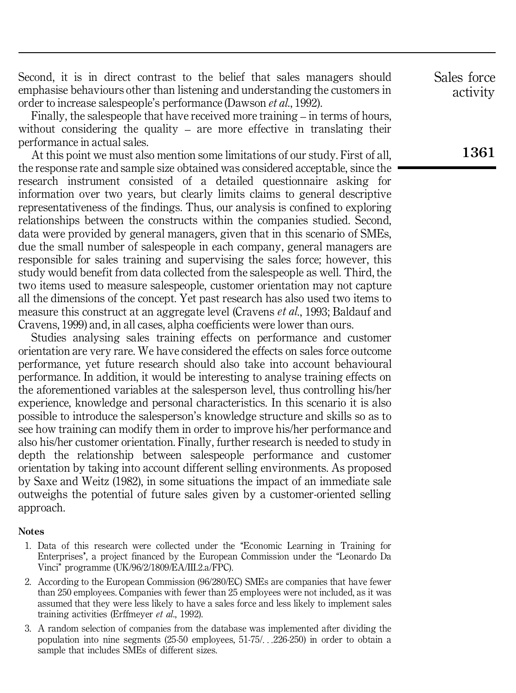Second, it is in direct contrast to the belief that sales managers should emphasise behaviours other than listening and understanding the customers in order to increase salespeople's performance (Dawson *et al*., 1992).

Finally, the salespeople that have received more training – in terms of hours, without considering the quality – are more effective in translating their performance in actual sales.

At this point we must also mention some limitations of our study. First of all, the response rate and sample size obtained was considered acceptable, since the research instrument consisted of a detailed questionnaire asking for information over two years, but clearly limits claims to general descriptive representativeness of the findings. Thus, our analysis is confined to exploring relationships between the constructs within the companies studied. Second, data were provided by general managers, given that in this scenario of SMEs, due the small number of salespeople in each company, general managers are responsible for sales training and supervising the sales force; however, this study would benefit from data collected from the salespeople as well. Third, the two items used to measure salespeople, customer orientation may not capture all the dimensions of the concept. Yet past research has also used two items to measure this construct at an aggregate level (Cravens *et al*., 1993; Baldauf and Cravens, 1999) and, in all cases, alpha coefficients were lower than ours.

Studies analysing sales training effects on performance and customer orientation are very rare. We have considered the effects on sales force outcome performance, yet future research should also take into account behavioural performance. In addition, it would be interesting to analyse training effects on the aforementioned variables at the salesperson level, thus controlling his/her experience, knowledge and personal characteristics. In this scenario it is also possible to introduce the salesperson's knowledge structure and skills so as to see how training can modify them in order to improve his/her performance and also his/her customer orientation. Finally, further research is needed to study in depth the relationship between salespeople performance and customer orientation by taking into account different selling environments. As proposed by Saxe and Weitz (1982), in some situations the impact of an immediate sale outweighs the potential of future sales given by a customer-oriented selling approach.

#### **Notes**

- 1. Data of this research were collected under the "Economic Learning in Training for Enterprises', a project financed by the European Commission under the "Leonardo Da Vinci'' programme (UK/96/2/1809/EA/III.2.a/FPC).
- 2. According to the European Commission (96/280/EC) SMEs are companies that have fewer than 250 employees. Companies with fewer than 25 employees were not included, as it was assumed that they were less likely to have a sales force and less likely to implement sales training activities (Erffmeyer *et al*., 1992).
- 3. A random selection of companies from the database was implemented after dividing the population into nine segments (25-50 employees, 51-75/. . .226-250) in order to obtain a sample that includes SMEs of different sizes.

Sales force activity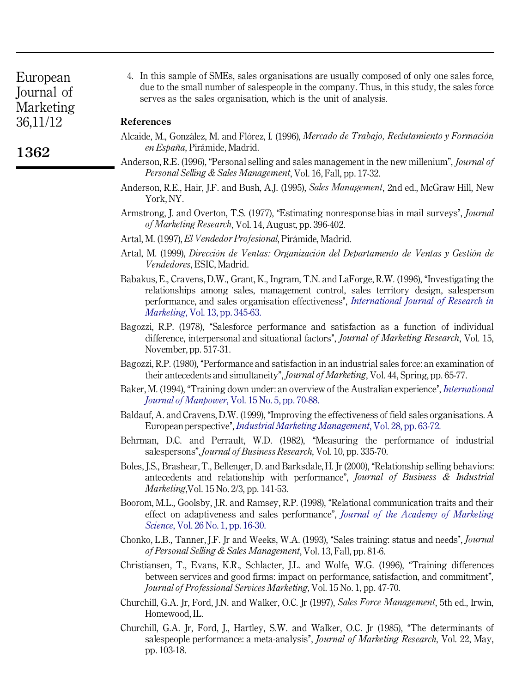**1362**

4. In this sample of SMEs, sales organisations are usually composed of only one sales force, due to the small number of salespeople in the company. Thus, in this study, the sales force serves as the sales organisation, which is the unit of analysis.

#### **References**

- Alcaide, M., González, M. and Flórez, I. (1996), *Mercado de Trabajo, Reclutamiento v Formación*  $en Estaña$ , Pirámide, Madrid.
- Anderson, R.E. (1996). "Personal selling and sales management in the new millenium", *Journal of Personal Selling & Sales Management*, Vol. 16, Fall, pp. 17-32.
- Anderson, R.E., Hair, J.F. and Bush, A.J. (1995), *Sales Management*, 2nd ed., McGraw Hill, New York,NY.
- Armstrong, J. and Overton, T.S. (1977), "Estimating nonresponse bias in mail surveys', *Journal of Marketing Research*, Vol. 14, August, pp. 396-402.
- Artal, M. (1997), *El Vendedor Profesional*, Pirámide, Madrid.
- Artal, M. (1999), *DireccioÂn de Ventas: OrganizacioÂn del Departamento de Ventas y GestioÂn de Vendedores*, ESIC, Madrid.
- Babakus, E., Cravens, D.W., Grant, K., Ingram, T.N. and LaForge, R.W. (1996), "Investigating the relationships among sales, management control, sales territory design, salesperson performance, and sales organisation effectiveness'', *[International](http://konstanza.emeraldinsight.com/nw=1/rpsv/cgi-bin/linker?ext=a&reqidx=/0167-8116^28^2913L.345[aid=1290908]) Journal of Research in [Marketing](http://konstanza.emeraldinsight.com/nw=1/rpsv/cgi-bin/linker?ext=a&reqidx=/0167-8116^28^2913L.345[aid=1290908])*, Vol. 13, pp. 345-63.
- Bagozzi, R.P. (1978), "Salesforce performance and satisfaction as a function of individual difference, interpersonal and situational factors'', *Journal of Marketing Research*, Vol. 15, November, pp. 517-31.
- Bagozzi, R.P. (1980), "Performance and satisfaction in an industrial sales force: an examination of their antecedents and simultaneity'', *Journal of Marketing*, Vol. 44, Spring, pp. 65-77.
- Baker, M. (1994), "Training down under: an overview of the Australian experience', *[International](http://konstanza.emeraldinsight.com/nw=1/rpsv/cgi-bin/linker?ext=a&reqidx=/0143-7720^28^2915:5L.70[aid=3336026]) Journal of [Manpower](http://konstanza.emeraldinsight.com/nw=1/rpsv/cgi-bin/linker?ext=a&reqidx=/0143-7720^28^2915:5L.70[aid=3336026])*, Vol. 15 No. 5, pp. 70-88.
- Baldauf, A. and Cravens, D.W. (1999), "Improving the effectiveness of field sales organisations. A European perspective'', *Industrial Marketing [Management](http://konstanza.emeraldinsight.com/nw=1/rpsv/cgi-bin/linker?ext=a&reqidx=/0019-8501^28^2928L.63[aid=3336027])*, Vol. 28, pp. 63-72.
- Behrman, D.C. and Perrault, W.D. (1982), "Measuring the performance of industrial salespersons'',*Journal of Business Research*, Vol. 10, pp. 335-70.
- Boles, J.S., Brashear, T., Bellenger, D. and Barksdale, H. Jr (2000), "Relationship selling behaviors: antecedents and relationship with performance'', *Journal of Business & Industrial Marketing*,Vol. 15 No. 2/3, pp. 141-53.
- Boorom, M.L., Goolsby, J.R. and Ramsey, R.P. (1998), "Relational communication traits and their effect on adaptiveness and sales performance'', *Journal of the Academy of [Marketing](http://konstanza.emeraldinsight.com/nw=1/rpsv/cgi-bin/linker?ext=a&reqidx=/0092-0703^28^2926:1L.16[aid=2262282]) [Science](http://konstanza.emeraldinsight.com/nw=1/rpsv/cgi-bin/linker?ext=a&reqidx=/0092-0703^28^2926:1L.16[aid=2262282])*, Vol. 26 No. 1, pp. 16-30.
- Chonko, L.B., Tanner, J.F. Jr and Weeks, W.A. (1993), "Sales training: status and needs", *Journal of Personal Selling & Sales Management*, Vol. 13, Fall, pp. 81-6.
- Christiansen, T., Evans, K.R., Schlacter, J.L. and Wolfe, W.G. (1996), "Training differences between services and good firms: impact on performance, satisfaction, and commitment'', *Journal of Professional Services Marketing*, Vol. 15 No. 1, pp. 47-70.
- Churchill, G.A. Jr, Ford, J.N. and Walker, O.C. Jr (1997), *Sales Force Management*, 5th ed., Irwin, Homewood, IL.
- Churchill, G.A. Jr, Ford, J., Hartley, S.W. and Walker, O.C. Jr (1985), "The determinants of salespeople performance: a meta-analysis'', *Journal of Marketing Research*, Vol. 22, May, pp. 103-18.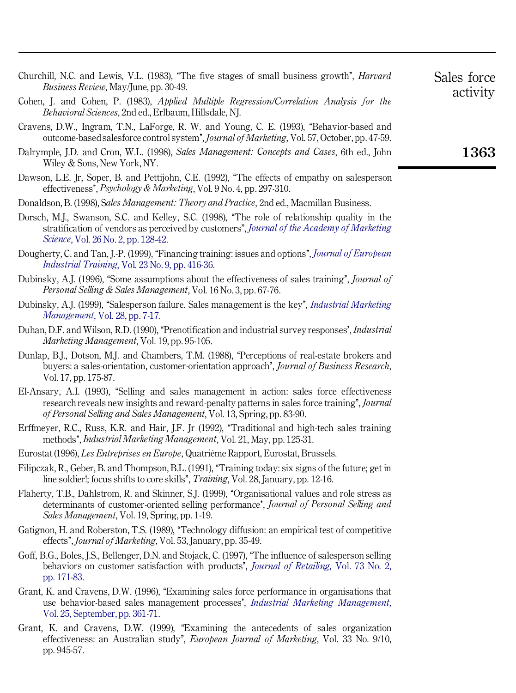- Churchill, N.C. and Lewis, V.L. (1983), "The five stages of small business growth", *Harvard Business Review*, May/June, pp. 30-49.
- Cohen, J. and Cohen, P. (1983), *Applied Multiple Regression/Correlation Analysis for the Behavioral Sciences*, 2nd ed., Erlbaum, Hillsdale, NJ.
- Cravens, D.W., Ingram, T.N., LaForge, R. W. and Young, C. E. (1993), "Behavior-based and outcome-basedsalesforce control system'', *Journal of Marketing*, Vol. 57,October, pp. 47-59.
- Dalrymple, J.D. and Cron, W.L. (1998), *Sales Management: Concepts and Cases*, 6th ed., John Wiley & Sons, New York, NY.
- Dawson, L.E. Ir, Soper, B. and Pettijohn, C.E. (1992), "The effects of empathy on salesperson effectiveness'', *Psychology & Marketing*, Vol. 9 No. 4, pp. 297-310.
- Donaldson, B. (1998), S*ales Management: Theory and Practice*, 2nd ed., Macmillan Business.
- Dorsch, M.J., Swanson, S.C. and Kelley, S.C. (1998), "The role of relationship quality in the stratification of vendors as perceived by customers'', *Journal of the Academy of [Marketing](http://konstanza.emeraldinsight.com/nw=1/rpsv/cgi-bin/linker?ext=a&reqidx=/0092-0703^28^2926:2L.128[aid=3113876]) [Science](http://konstanza.emeraldinsight.com/nw=1/rpsv/cgi-bin/linker?ext=a&reqidx=/0092-0703^28^2926:2L.128[aid=3113876])*, Vol. 26 No. 2, pp. 128-42.
- Dougherty, C. and Tan, J.-P. (1999), "Financing training: issues and options", *Journal of [European](http://konstanza.emeraldinsight.com/nw=1/rpsv/cgi-bin/linker?ext=a&reqidx=/0309-0590^28^2923:9L.416[aid=3336030]) [Industrial](http://konstanza.emeraldinsight.com/nw=1/rpsv/cgi-bin/linker?ext=a&reqidx=/0309-0590^28^2923:9L.416[aid=3336030]) Training*, Vol. 23 No. 9, pp. 416-36.
- Dubinsky, A.I. (1996). "Some assumptions about the effectiveness of sales training", *Journal of Personal Selling & Sales Management*, Vol. 16 No. 3, pp. 67-76.
- Dubinsky, A.J. (1999), "Salesperson failure. Sales management is the key", *Industrial [Marketing](http://konstanza.emeraldinsight.com/nw=1/rpsv/cgi-bin/linker?ext=a&reqidx=/0019-8501^28^2928L.7[aid=3336032]) [Management](http://konstanza.emeraldinsight.com/nw=1/rpsv/cgi-bin/linker?ext=a&reqidx=/0019-8501^28^2928L.7[aid=3336032])*, Vol. 28, pp. 7-17.
- Duhan, D.F. and Wilson, R.D. (1990), "Prenotification and industrial survey responses', *Industrial Marketing Management*, Vol. 19, pp. 95-105.
- Dunlap, B.I., Dotson, M.I. and Chambers, T.M. (1988), "Perceptions of real-estate brokers and buyers: a sales-orientation, customer-orientation approach', *Journal of Business Research*, Vol. 17, pp. 175-87.
- El-Ansary, A.I. (1993), "Selling and sales management in action: sales force effectiveness research reveals new insights and reward-penalty patterns in sales force training'', *Journal of Personal Selling and Sales Management*, Vol. 13, Spring, pp. 83-90.
- Erffmeyer, R.C., Russ, K.R. and Hair, J.F. Ir (1992), "Traditional and high-tech sales training methods'', *Industrial Marketing Management*, Vol. 21, May, pp. 125-31.
- Eurostat (1996), *Les Entreprises en Europe*, Quatriéme Rapport, Eurostat, Brussels.
- Filipczak, R., Geber, B. and Thompson, B.L. (1991), "Training today: six signs of the future; get in line soldier!; focus shifts to core skills'', *Training*, Vol. 28, January, pp. 12-16.
- Flaherty, T.B., Dahlstrom, R. and Skinner, S.J. (1999), "Organisational values and role stress as determinants of customer-oriented selling performance', *Journal of Personal Selling and Sales Management*, Vol. 19, Spring, pp. 1-19.
- Gatignon, H. and Roberston, T.S. (1989), "Technology diffusion: an empirical test of competitive effects'', *Journal of Marketing*, Vol. 53, January, pp. 35-49.
- Goff, B.G., Boles, J.S., Bellenger, D.N. and Stojack, C. (1997), "The influence of salesperson selling behaviors on customer satisfaction with products'', *Journal of [Retailing](http://konstanza.emeraldinsight.com/nw=1/rpsv/cgi-bin/linker?ext=a&reqidx=/0022-4359^28^2973:2L.171[aid=3336038])*, Vol. 73 No. 2, pp. [171-83.](http://konstanza.emeraldinsight.com/nw=1/rpsv/cgi-bin/linker?ext=a&reqidx=/0022-4359^28^2973:2L.171[aid=3336038])
- Grant, K. and Cravens, D.W. (1996), "Examining sales force performance in organisations that use behavior-based sales management processes', *Industrial Marketing [Management](http://konstanza.emeraldinsight.com/nw=1/rpsv/cgi-bin/linker?ext=a&reqidx=/0019-8501^28^2925L.361[aid=3336039])*, Vol. 25, [September,](http://konstanza.emeraldinsight.com/nw=1/rpsv/cgi-bin/linker?ext=a&reqidx=/0019-8501^28^2925L.361[aid=3336039]) pp. 361-71.
- Grant, K. and Cravens, D.W. (1999), "Examining the antecedents of sales organization effectiveness: an Australian study'', *European Journal of Marketing*, Vol. 33 No. 9/10, pp. 945-57.

activity

Sales force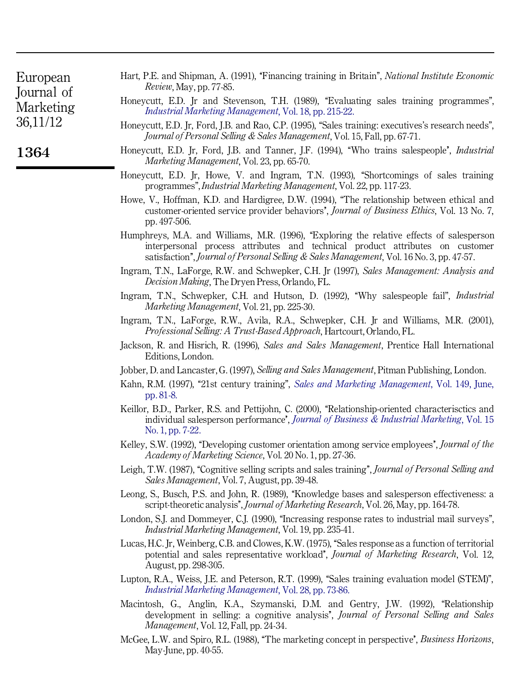| European   |  |
|------------|--|
| Journal of |  |
| Marketing  |  |
| 36,11/12   |  |

- Hart, P.E. and Shipman, A. (1991), "Financing training in Britain", *National Institute Economic Review*, May, pp. 77-85.
	- Honeycutt, E.D. Ir and Stevenson, T.H. (1989), "Evaluating sales training programmes", *Industrial Marketing [Management](http://konstanza.emeraldinsight.com/nw=1/rpsv/cgi-bin/linker?ext=a&reqidx=/0019-8501^28^2918L.215[aid=3336040])*, Vol. 18, pp. 215-22.
	- Honeycutt, E.D. Jr, Ford, J.B. and Rao, C.P. (1995), "Sales training: executives's research needs", *Journal of Personal Selling & Sales Management*, Vol. 15, Fall, pp. 67-71.
	- Honeycutt, E.D. Jr, Ford, J.B. and Tanner, J.F. (1994), "Who trains salespeople', *Industrial Marketing Management*, Vol. 23, pp. 65-70.
	- Honeycutt, E.D. Jr, Howe, V. and Ingram, T.N. (1993), "Shortcomings of sales training programmes'',*Industrial Marketing Management*, Vol. 22, pp. 117-23.
	- Howe, V., Hoffman, K.D. and Hardigree, D.W. (1994), "The relationship between ethical and customer-oriented service provider behaviors'', *Journal of Business Ethics*, Vol. 13 No. 7, pp. 497-506.
	- Humphreys, M.A. and Williams, M.R. (1996), "Exploring the relative effects of salesperson interpersonal process attributes and technical product attributes on customer satisfaction'', *Journal of Personal Selling & Sales Management*, Vol. 16 No. 3, pp. 47-57.
	- Ingram, T.N., LaForge, R.W. and Schwepker, C.H. Jr (1997), *Sales Management: Analysis and Decision Making*, The Dryen Press, Orlando, FL.
	- Ingram, T.N., Schwepker, C.H. and Hutson, D. (1992), "Why salespeople fail", *Industrial Marketing Management*, Vol. 21, pp. 225-30.
	- Ingram, T.N., LaForge, R.W., Avila, R.A., Schwepker, C.H. Jr and Williams, M.R. (2001), *Professional Selling: A Trust-Based Approach*, Hartcourt,Orlando, FL.
	- Jackson, R. and Hisrich, R. (1996), *Sales and Sales Management*, Prentice Hall International Editions, London.
	- Jobber, D. and Lancaster,G. (1997), *Selling and Sales Management*, Pitman Publishing, London.
	- Kahn, R.M. (1997), "21st century training", *Sales and Marketing [Management](http://konstanza.emeraldinsight.com/nw=1/rpsv/cgi-bin/linker?ext=a&reqidx=/0264-3200^28^29149L.81[aid=3336044])*, Vol. 149, June, pp. [81-8.](http://konstanza.emeraldinsight.com/nw=1/rpsv/cgi-bin/linker?ext=a&reqidx=/0264-3200^28^29149L.81[aid=3336044])
	- Keillor, B.D., Parker, R.S. and Pettijohn, C. (2000), "Relationship-oriented characterisctics and individual salesperson performance', *Journal of Business & Industrial [Marketing](http://konstanza.emeraldinsight.com/nw=1/rpsv/cgi-bin/linker?ext=a&reqidx=/0885-8624^28^2915:1L.7[aid=1322249])*, Vol. 15 No. 1, pp. [7-22.](http://konstanza.emeraldinsight.com/nw=1/rpsv/cgi-bin/linker?ext=a&reqidx=/0885-8624^28^2915:1L.7[aid=1322249])
	- Kelley, S.W. (1992), "Developing customer orientation among service employees", *Journal of the Academy of Marketing Science*, Vol. 20 No. 1, pp. 27-36.
	- Leigh, T.W. (1987), ``Cognitive selling scripts and sales training'', *Journal of Personal Selling and Sales Management*, Vol. 7, August, pp. 39-48.
	- Leong, S., Busch, P.S. and John, R. (1989), "Knowledge bases and salesperson effectiveness: a script-theoretic analysis'', *Journal of Marketing Research*, Vol. 26, May, pp. 164-78.
	- London, S.J. and Dommeyer, C.J. (1990), "Increasing response rates to industrial mail surveys", *Industrial Marketing Management*, Vol. 19, pp. 235-41.
	- Lucas, H.C. Ir, Weinberg, C.B. and Clowes, K.W. (1975), "Sales response as a function of territorial potential and sales representative workload'', *Journal of Marketing Research*, Vol. 12, August, pp. 298-305.
	- Lupton, R.A., Weiss, J.E. and Peterson, R.T. (1999), "Sales training evaluation model (STEM)", *Industrial Marketing [Management](http://konstanza.emeraldinsight.com/nw=1/rpsv/cgi-bin/linker?ext=a&reqidx=/0019-8501^28^2928L.73[aid=3336047])*, Vol. 28, pp. 73-86.
	- Macintosh, G., Anglin, K.A., Szymanski, D.M. and Gentry, J.W. (1992), "Relationship development in selling: a cognitive analysis'', *Journal of Personal Selling and Sales Management*, Vol. 12, Fall, pp. 24-34.
	- McGee, L.W. and Spiro, R.L. (1988), "The marketing concept in perspective', *Business Horizons*, May-June, pp. 40-55.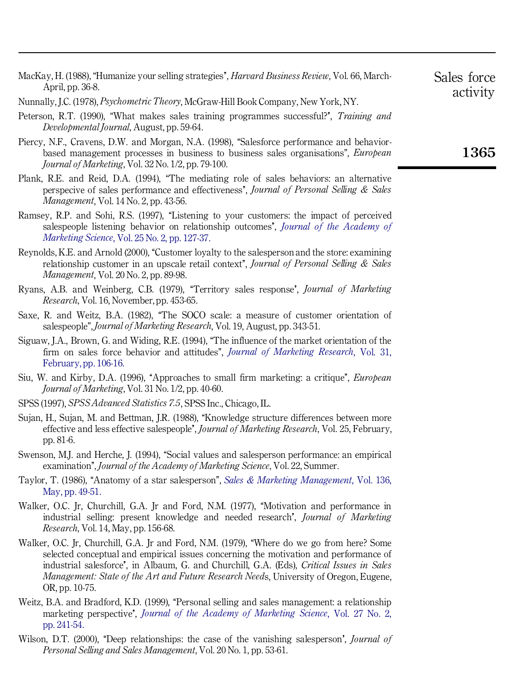| MacKay, H. (1988), "Humanize your selling strategies", <i>Harvard Business Review</i> , Vol. 66, March-<br>April, pp. 36-8.                                                                                                                  | Sales force<br>activity |
|----------------------------------------------------------------------------------------------------------------------------------------------------------------------------------------------------------------------------------------------|-------------------------|
| Nunnally, J.C. (1978), <i>Psychometric Theory</i> , McGraw-Hill Book Company, New York, NY.                                                                                                                                                  |                         |
| Peterson, R.T. (1990), "What makes sales training programmes successful?", Training and<br>Developmental Journal, August, pp. 59-64.                                                                                                         |                         |
| Piercy, N.F., Cravens, D.W. and Morgan, N.A. (1998), "Salesforce performance and behavior-<br>based management processes in business to business sales organisations", European<br><i>Journal of Marketing, Vol. 32 No. 1/2, pp. 79-100.</i> | 1365                    |
| Plank, R.E. and Reid, D.A. (1994), "The mediating role of sales behaviors: an alternative<br>perspecive of sales performance and effectiveness', Journal of Personal Selling & Sales<br><i>Management, Vol. 14 No. 2, pp. 43-56.</i>         |                         |
| Ramsey, R.P. and Sohi, R.S. (1997), "Listening to your customers: the impact of perceived<br>salespeople listening behavior on relationship outcomes', Journal of the Academy of<br><i>Marketing Science, Vol. 25 No. 2, pp. 127-37.</i>     |                         |
| Reynolds, K.E. and Arnold (2000), "Customer loyalty to the salesperson and the store: examining<br>relationship customer in an upscale retail context", Journal of Personal Selling & Sales<br><i>Management</i> , Vol. 20 No. 2, pp. 89-98. |                         |

- Ryans, A.B. and Weinberg, C.B. (1979), ``Territory sales response', *Journal of Marketing Research*, Vol. 16, November, pp. 453-65.
- Saxe, R. and Weitz, B.A. (1982), "The SOCO scale: a measure of customer orientation of salespeople'',*Journal of Marketing Research*, Vol. 19, August, pp. 343-51.
- Siguaw, J.A., Brown, G. and Widing, R.E. (1994), "The influence of the market orientation of the firm on sales force behavior and attitudes'', *Journal of [Marketing](http://konstanza.emeraldinsight.com/nw=1/rpsv/cgi-bin/linker?ext=a&reqidx=/0022-2437^28^2931L.106[aid=348999]) Research*, Vol. 31, [February,](http://konstanza.emeraldinsight.com/nw=1/rpsv/cgi-bin/linker?ext=a&reqidx=/0022-2437^28^2931L.106[aid=348999]) pp. 106-16.
- Siu, W. and Kirby, D.A. (1996), ``Approaches to small firm marketing: a critique'', *European Journal of Marketing*, Vol. 31 No. 1/2, pp. 40-60.
- SPSS (1997), *SPSS Advanced Statistics 7.5*, SPSS Inc., Chicago, IL.
- Sujan, H., Sujan, M. and Bettman, J.R. (1988), "Knowledge structure differences between more effective and less effective salespeople'', *Journal of Marketing Research*, Vol. 25, February, pp. 81-6.
- Swenson, M.J. and Herche, J. (1994), "Social values and salesperson performance: an empirical examination'', *Journal of the Academy of Marketing Science*, Vol. 22, Summer.
- Taylor, T. (1986), ``Anatomy of a star salesperson'', *Sales & Marketing [Management](http://konstanza.emeraldinsight.com/nw=1/rpsv/cgi-bin/linker?ext=a&reqidx=/0264-3200^28^29136L.49[aid=3336052])*, Vol. 136, May, pp. [49-51.](http://konstanza.emeraldinsight.com/nw=1/rpsv/cgi-bin/linker?ext=a&reqidx=/0264-3200^28^29136L.49[aid=3336052])
- Walker, O.C. Jr, Churchill, G.A. Jr and Ford, N.M. (1977), "Motivation and performance in industrial selling: present knowledge and needed research', *Journal of Marketing Research*, Vol. 14, May, pp. 156-68.
- Walker, O.C. Ir, Churchill, G.A. Ir and Ford, N.M. (1979), "Where do we go from here? Some selected conceptual and empirical issues concerning the motivation and performance of industrial salesforce'', in Albaum, G. and Churchill, G.A. (Eds), *Critical Issues in Sales Management: State of the Art and Future Research Need*s, University of Oregon, Eugene, OR, pp. 10-75.
- Weitz, B.A. and Bradford, K.D. (1999), "Personal selling and sales management: a relationship marketing perspective'', *Journal of the Academy of [Marketing](http://konstanza.emeraldinsight.com/nw=1/rpsv/cgi-bin/linker?ext=a&reqidx=/0092-0703^28^2927:2L.241[aid=1290879]) Science*, Vol. 27 No. 2, pp. [241-54.](http://konstanza.emeraldinsight.com/nw=1/rpsv/cgi-bin/linker?ext=a&reqidx=/0092-0703^28^2927:2L.241[aid=1290879])
- Wilson, D.T. (2000), "Deep relationships: the case of the vanishing salesperson', *Journal of Personal Selling and Sales Management*, Vol. 20 No. 1, pp. 53-61.